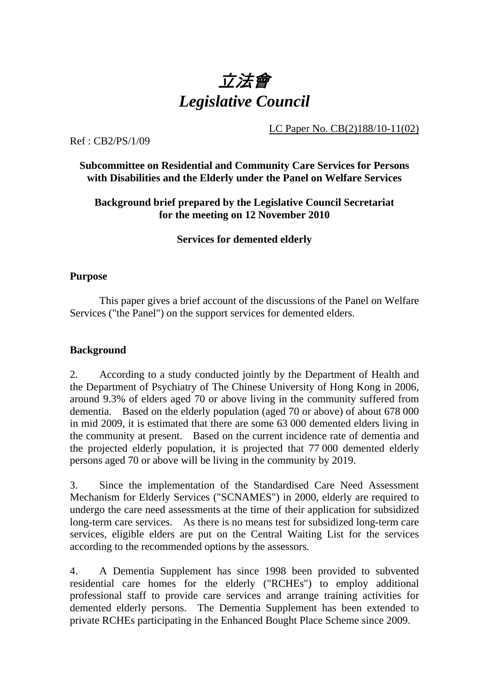

LC Paper No. CB(2)188/10-11(02)

Ref : CB2/PS/1/09

# **Subcommittee on Residential and Community Care Services for Persons with Disabilities and the Elderly under the Panel on Welfare Services**

# **Background brief prepared by the Legislative Council Secretariat for the meeting on 12 November 2010**

# **Services for demented elderly**

# **Purpose**

This paper gives a brief account of the discussions of the Panel on Welfare Services ("the Panel") on the support services for demented elders.

# **Background**

2. According to a study conducted jointly by the Department of Health and the Department of Psychiatry of The Chinese University of Hong Kong in 2006, around 9.3% of elders aged 70 or above living in the community suffered from dementia. Based on the elderly population (aged 70 or above) of about 678,000 in mid 2009, it is estimated that there are some 63,000 demented elders living in the community at present. Based on the current incidence rate of dementia and the projected elderly population, it is projected that 77,000 demented elderly persons aged 70 or above will be living in the community by 2019.

3. Since the implementation of the Standardised Care Need Assessment Mechanism for Elderly Services ("SCNAMES") in 2000, elderly are required to undergo the care need assessments at the time of their application for subsidized long-term care services. As there is no means test for subsidized long-term care services, eligible elders are put on the Central Waiting List for the services according to the recommended options by the assessors.

4. A Dementia Supplement has since 1998 been provided to subvented residential care homes for the elderly ("RCHEs") to employ additional professional staff to provide care services and arrange training activities for demented elderly persons. The Dementia Supplement has been extended to private RCHEs participating in the Enhanced Bought Place Scheme since 2009.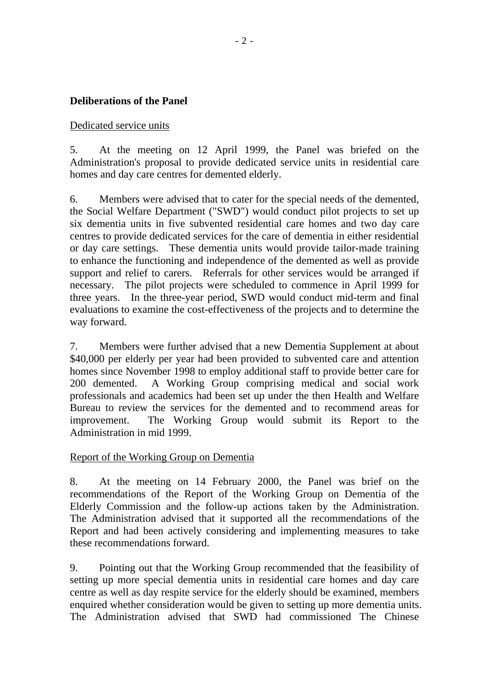# **Deliberations of the Panel**

#### Dedicated service units

5. At the meeting on 12 April 1999, the Panel was briefed on the Administration's proposal to provide dedicated service units in residential care homes and day care centres for demented elderly.

6. Members were advised that to cater for the special needs of the demented, the Social Welfare Department ("SWD") would conduct pilot projects to set up six dementia units in five subvented residential care homes and two day care centres to provide dedicated services for the care of dementia in either residential or day care settings. These dementia units would provide tailor-made training to enhance the functioning and independence of the demented as well as provide support and relief to carers. Referrals for other services would be arranged if necessary. The pilot projects were scheduled to commence in April 1999 for three years. In the three-year period, SWD would conduct mid-term and final evaluations to examine the cost-effectiveness of the projects and to determine the way forward.

7. Members were further advised that a new Dementia Supplement at about \$40,000 per elderly per year had been provided to subvented care and attention homes since November 1998 to employ additional staff to provide better care for 200 demented. A Working Group comprising medical and social work professionals and academics had been set up under the then Health and Welfare Bureau to review the services for the demented and to recommend areas for improvement. The Working Group would submit its Report to the Administration in mid 1999.

# Report of the Working Group on Dementia

8. At the meeting on 14 February 2000, the Panel was brief on the recommendations of the Report of the Working Group on Dementia of the Elderly Commission and the follow-up actions taken by the Administration. The Administration advised that it supported all the recommendations of the Report and had been actively considering and implementing measures to take these recommendations forward.

9. Pointing out that the Working Group recommended that the feasibility of setting up more special dementia units in residential care homes and day care centre as well as day respite service for the elderly should be examined, members enquired whether consideration would be given to setting up more dementia units. The Administration advised that SWD had commissioned The Chinese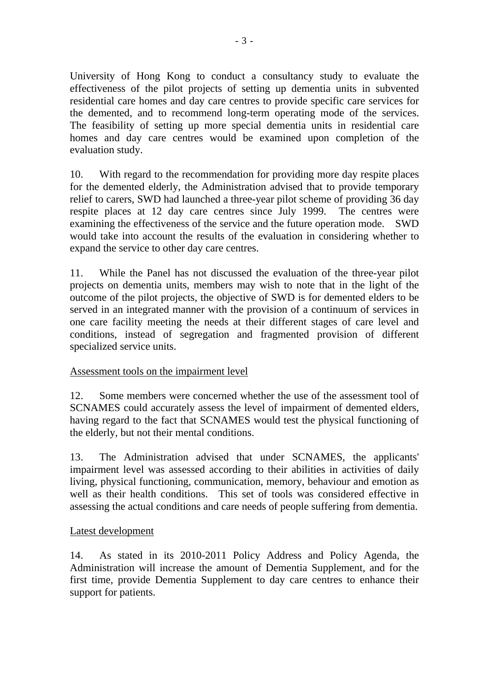University of Hong Kong to conduct a consultancy study to evaluate the effectiveness of the pilot projects of setting up dementia units in subvented residential care homes and day care centres to provide specific care services for the demented, and to recommend long-term operating mode of the services. The feasibility of setting up more special dementia units in residential care homes and day care centres would be examined upon completion of the evaluation study.

10. With regard to the recommendation for providing more day respite places for the demented elderly, the Administration advised that to provide temporary relief to carers, SWD had launched a three-year pilot scheme of providing 36 day respite places at 12 day care centres since July 1999. The centres were examining the effectiveness of the service and the future operation mode. SWD would take into account the results of the evaluation in considering whether to expand the service to other day care centres.

11. While the Panel has not discussed the evaluation of the three-year pilot projects on dementia units, members may wish to note that in the light of the outcome of the pilot projects, the objective of SWD is for demented elders to be served in an integrated manner with the provision of a continuum of services in one care facility meeting the needs at their different stages of care level and conditions, instead of segregation and fragmented provision of different specialized service units.

# Assessment tools on the impairment level

12. Some members were concerned whether the use of the assessment tool of SCNAMES could accurately assess the level of impairment of demented elders, having regard to the fact that SCNAMES would test the physical functioning of the elderly, but not their mental conditions.

13. The Administration advised that under SCNAMES, the applicants' impairment level was assessed according to their abilities in activities of daily living, physical functioning, communication, memory, behaviour and emotion as well as their health conditions. This set of tools was considered effective in assessing the actual conditions and care needs of people suffering from dementia.

# Latest development

14. As stated in its 2010-2011 Policy Address and Policy Agenda, the Administration will increase the amount of Dementia Supplement, and for the first time, provide Dementia Supplement to day care centres to enhance their support for patients.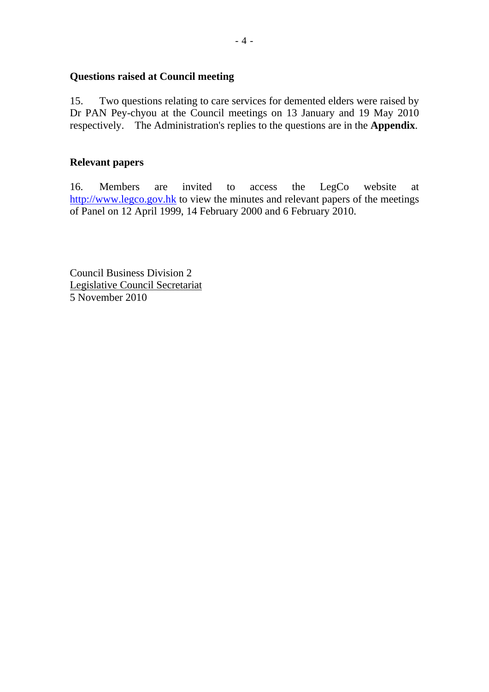#### **Questions raised at Council meeting**

15. Two questions relating to care services for demented elders were raised by Dr PAN Pey-chyou at the Council meetings on 13 January and 19 May 2010 respectively. The Administration's replies to the questions are in the **Appendix**.

# **Relevant papers**

16. Members are invited to access the LegCo website at http://www.legco.gov.hk to view the minutes and relevant papers of the meetings of Panel on 12 April 1999, 14 February 2000 and 6 February 2010.

Council Business Division 2 Legislative Council Secretariat 5 November 2010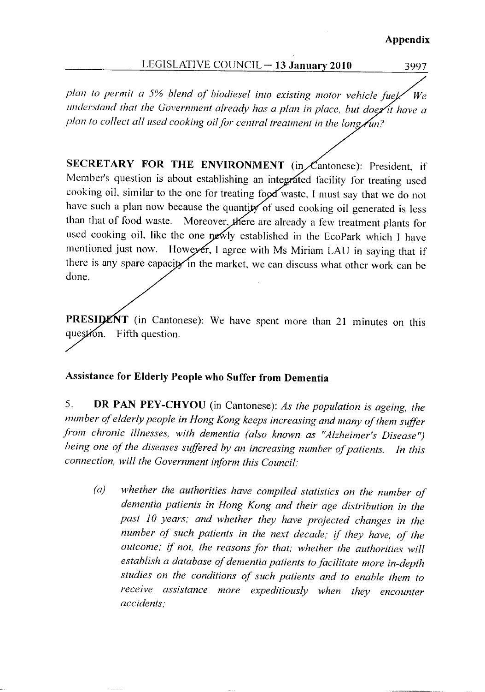#### Appendix

#### LEGISLATIVE COUNCIL - 13 January 2010

3997

plan to permit a 5% blend of biodiesel into existing motor vehicle fuel  $W_{\rho}$ understand that the Government already has a plan in place, but does it have a plan to collect all used cooking oil for central treatment in the long  $\hat{A}$ un?

SECRETARY FOR THE ENVIRONMENT (in Cantonese): President, if Member's question is about establishing an integrated facility for treating used cooking oil, similar to the one for treating food waste, I must say that we do not have such a plan now because the quantity of used cooking oil generated is less Moreover, there are already a few treatment plants for than that of food waste. used cooking oil, like the one newly established in the EcoPark which I have mentioned just now. However, I agree with Ms Miriam LAU in saying that if there is any spare capacity in the market, we can discuss what other work can be done.

PRESIDENT (in Cantonese): We have spent more than 21 minutes on this question. Fifth question.

#### **Assistance for Elderly People who Suffer from Dementia**

DR PAN PEY-CHYOU (in Cantonese): As the population is ageing, the 5. number of elderly people in Hong Kong keeps increasing and many of them suffer from chronic illnesses, with dementia (also known as "Alzheimer's Disease") being one of the diseases suffered by an increasing number of patients. In this connection, will the Government inform this Council:

whether the authorities have compiled statistics on the number of  $(a)$ dementia patients in Hong Kong and their age distribution in the past 10 years; and whether they have projected changes in the number of such patients in the next decade; if they have, of the outcome; if not, the reasons for that; whether the authorities will establish a database of dementia patients to facilitate more in-depth studies on the conditions of such patients and to enable them to receive assistance more expeditiously when they encounter accidents: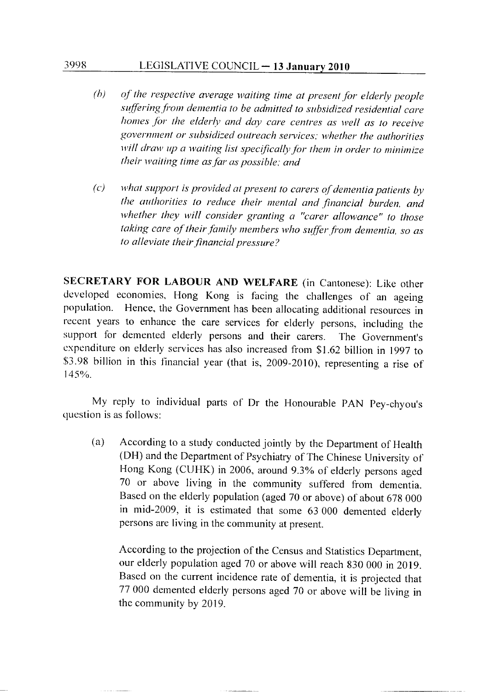#### LEGISLATIVE COUNCIL - 13 January 2010

3998

- $(b)$ of the respective average waiting time at present for elderly people suffering from dementia to be admitted to subsidized residential care homes for the elderly and day care centres as well as to receive government or subsidized outreach services; whether the authorities will draw up a waiting list specifically for them in order to minimize their waiting time as far as possible; and
- what support is provided at present to carers of dementia patients by  $\left( c\right)$ the authorities to reduce their mental and financial burden, and whether they will consider granting a "carer allowance" to those taking care of their family members who suffer from dementia, so as to alleviate their financial pressure?

SECRETARY FOR LABOUR AND WELFARE (in Cantonese): Like other developed economies, Hong Kong is facing the challenges of an ageing population. Hence, the Government has been allocating additional resources in recent years to enhance the care services for elderly persons, including the support for demented elderly persons and their carers. The Government's expenditure on elderly services has also increased from \$1.62 billion in 1997 to \$3.98 billion in this financial year (that is, 2009-2010), representing a rise of  $145%$ 

My reply to individual parts of Dr the Honourable PAN Pey-chyou's question is as follows:

According to a study conducted jointly by the Department of Health  $(a)$ (DH) and the Department of Psychiatry of The Chinese University of Hong Kong (CUHK) in 2006, around 9.3% of elderly persons aged 70 or above living in the community suffered from dementia. Based on the elderly population (aged 70 or above) of about 678 000 in mid-2009, it is estimated that some 63 000 demented elderly persons are living in the community at present.

According to the projection of the Census and Statistics Department, our elderly population aged 70 or above will reach 830 000 in 2019. Based on the current incidence rate of dementia, it is projected that 77 000 demented elderly persons aged 70 or above will be living in the community by 2019.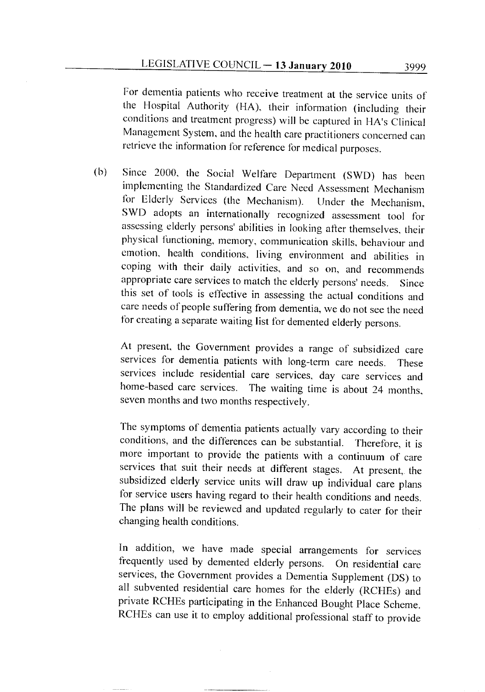For dementia patients who receive treatment at the service units of the Hospital Authority (HA), their information (including their conditions and treatment progress) will be captured in HA's Clinical Management System, and the health care practitioners concerned can retrieve the information for reference for medical purposes.

Since 2000, the Social Welfare Department (SWD) has been  $(b)$ implementing the Standardized Care Need Assessment Mechanism for Elderly Services (the Mechanism). Under the Mechanism, SWD adopts an internationally recognized assessment tool for assessing elderly persons' abilities in looking after themselves, their physical functioning, memory, communication skills, behaviour and emotion, health conditions, living environment and abilities in coping with their daily activities, and so on, and recommends appropriate care services to match the elderly persons' needs. Since this set of tools is effective in assessing the actual conditions and care needs of people suffering from dementia, we do not see the need for creating a separate waiting list for demented elderly persons.

At present, the Government provides a range of subsidized care services for dementia patients with long-term care needs. These services include residential care services, day care services and home-based care services. The waiting time is about 24 months, seven months and two months respectively.

The symptoms of dementia patients actually vary according to their conditions, and the differences can be substantial. Therefore, it is more important to provide the patients with a continuum of care services that suit their needs at different stages. At present, the subsidized elderly service units will draw up individual care plans for service users having regard to their health conditions and needs. The plans will be reviewed and updated regularly to cater for their changing health conditions.

In addition, we have made special arrangements for services frequently used by demented elderly persons. On residential care services, the Government provides a Dementia Supplement (DS) to all subvented residential care homes for the elderly (RCHEs) and private RCHEs participating in the Enhanced Bought Place Scheme. RCHEs can use it to employ additional professional staff to provide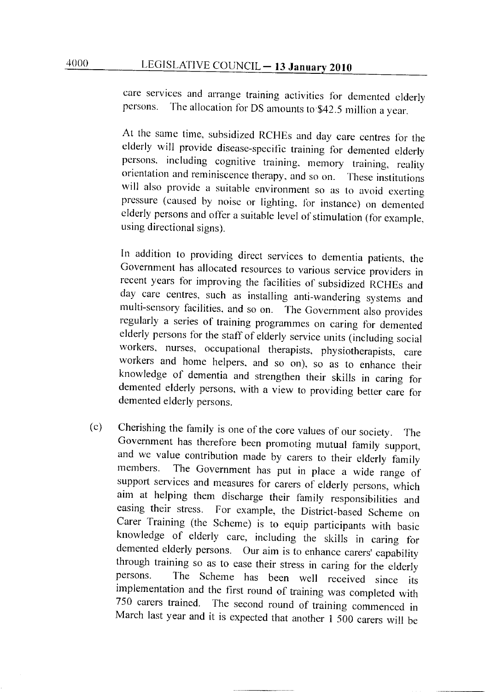care services and arrange training activities for demented elderly The allocation for DS amounts to \$42.5 million a year. persons.

At the same time, subsidized RCHEs and day care centres for the elderly will provide disease-specific training for demented elderly persons, including cognitive training, memory training, reality orientation and reminiscence therapy, and so on. These institutions will also provide a suitable environment so as to avoid exerting pressure (caused by noise or lighting, for instance) on demented elderly persons and offer a suitable level of stimulation (for example, using directional signs).

In addition to providing direct services to dementia patients, the Government has allocated resources to various service providers in recent years for improving the facilities of subsidized RCHEs and day care centres, such as installing anti-wandering systems and multi-sensory facilities, and so on. The Government also provides regularly a series of training programmes on caring for demented elderly persons for the staff of elderly service units (including social workers, nurses, occupational therapists, physiotherapists, care workers and home helpers, and so on), so as to enhance their knowledge of dementia and strengthen their skills in caring for demented elderly persons, with a view to providing better care for demented elderly persons.

Cherishing the family is one of the core values of our society.  $(c)$ **The** Government has therefore been promoting mutual family support, and we value contribution made by carers to their elderly family The Government has put in place a wide range of members. support services and measures for carers of elderly persons, which aim at helping them discharge their family responsibilities and easing their stress. For example, the District-based Scheme on Carer Training (the Scheme) is to equip participants with basic knowledge of elderly care, including the skills in caring for demented elderly persons. Our aim is to enhance carers' capability through training so as to ease their stress in caring for the elderly The Scheme has been well received since its persons. implementation and the first round of training was completed with 750 carers trained. The second round of training commenced in March last year and it is expected that another 1 500 carers will be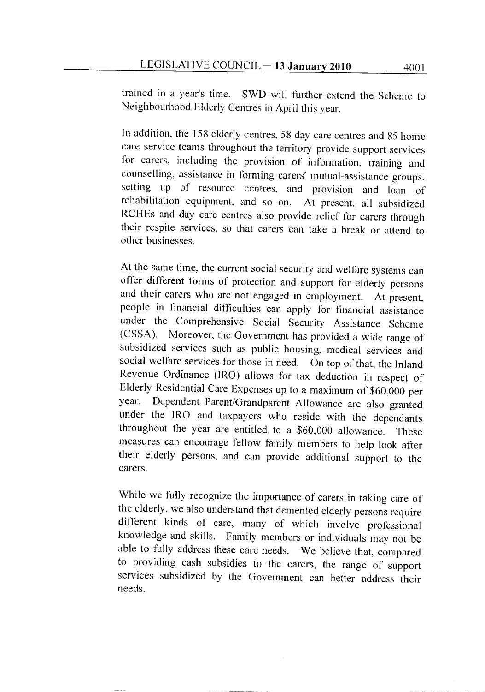trained in a year's time. SWD will further extend the Scheme to Neighbourhood Elderly Centres in April this year.

In addition, the 158 elderly centres, 58 day care centres and 85 home care service teams throughout the territory provide support services for carers, including the provision of information, training and counselling, assistance in forming carers' mutual-assistance groups, setting up of resource centres, and provision and loan of rehabilitation equipment, and so on. At present, all subsidized RCHEs and day care centres also provide relief for carers through their respite services, so that carers can take a break or attend to other businesses.

At the same time, the current social security and welfare systems can offer different forms of protection and support for elderly persons and their carers who are not engaged in employment. At present. people in financial difficulties can apply for financial assistance under the Comprehensive Social Security Assistance Scheme Moreover, the Government has provided a wide range of  $(CSSA)$ . subsidized services such as public housing, medical services and social welfare services for those in need. On top of that, the Inland Revenue Ordinance (IRO) allows for tax deduction in respect of Elderly Residential Care Expenses up to a maximum of \$60,000 per year. Dependent Parent/Grandparent Allowance are also granted under the IRO and taxpayers who reside with the dependants throughout the year are entitled to a \$60,000 allowance. These measures can encourage fellow family members to help look after their elderly persons, and can provide additional support to the carers.

While we fully recognize the importance of carers in taking care of the elderly, we also understand that demented elderly persons require different kinds of care, many of which involve professional knowledge and skills. Family members or individuals may not be able to fully address these care needs. We believe that, compared to providing cash subsidies to the carers, the range of support services subsidized by the Government can better address their needs.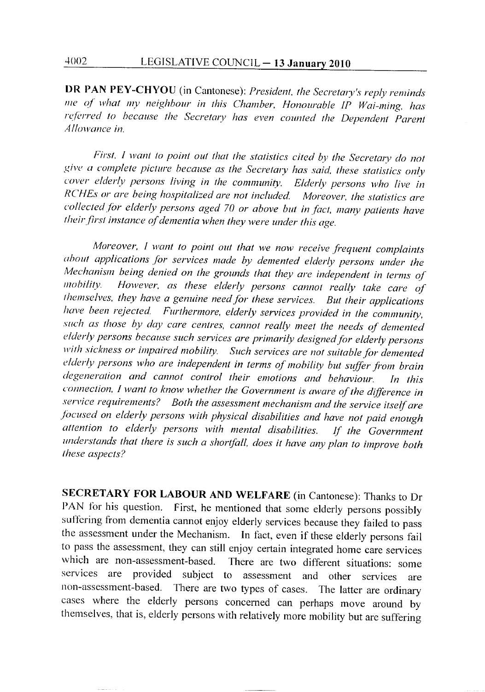DR PAN PEY-CHYOU (in Cantonese): President, the Secretary's reply reminds me of what my neighbour in this Chamber, Honourable IP Wai-ming, has referred to because the Secretary has even counted the Dependent Parent Allowance in.

First, I want to point out that the statistics cited by the Secretary do not give a complete picture because as the Secretary has said, these statistics only cover elderly persons living in the community. Elderly persons who live in RCHEs or are being hospitalized are not included. Moreover, the statistics are collected for elderly persons aged 70 or above but in fact, many patients have their first instance of dementia when they were under this age.

Moreover, I want to point out that we now receive frequent complaints about applications for services made by demented elderly persons under the Mechanism being denied on the grounds that they are independent in terms of However, as these elderly persons cannot really take care of *mobility*. themselves, they have a genuine need for these services. But their applications have been rejected. Furthermore, elderly services provided in the community, such as those by day care centres, cannot really meet the needs of demented elderly persons because such services are primarily designed for elderly persons with sickness or impaired mobility. Such services are not suitable for demented elderly persons who are independent in terms of mobility but suffer from brain degeneration and cannot control their emotions and behaviour. In this connection, I want to know whether the Government is aware of the difference in service requirements? Both the assessment mechanism and the service itself are focused on elderly persons with physical disabilities and have not paid enough attention to elderly persons with mental disabilities. If the Government understands that there is such a shortfall, does it have any plan to improve both these aspects?

SECRETARY FOR LABOUR AND WELFARE (in Cantonese): Thanks to Dr PAN for his question. First, he mentioned that some elderly persons possibly suffering from dementia cannot enjoy elderly services because they failed to pass the assessment under the Mechanism. In fact, even if these elderly persons fail to pass the assessment, they can still enjoy certain integrated home care services which are non-assessment-based. There are two different situations: some services are provided subject to assessment and other services are non-assessment-based. There are two types of cases. The latter are ordinary cases where the elderly persons concerned can perhaps move around by themselves, that is, elderly persons with relatively more mobility but are suffering

4002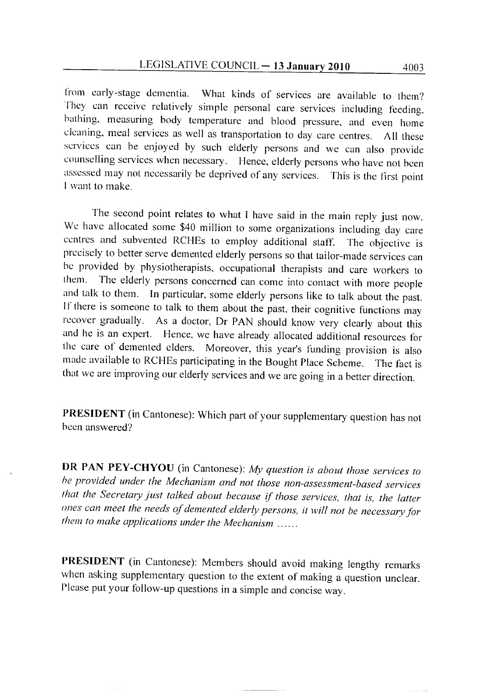from early-stage dementia. What kinds of services are available to them? They can receive relatively simple personal care services including feeding, bathing, measuring body temperature and blood pressure, and even home cleaning, meal services as well as transportation to day care centres. All these services can be enjoyed by such elderly persons and we can also provide counselling services when necessary. Hence, elderly persons who have not been assessed may not necessarily be deprived of any services. This is the first point I want to make.

The second point relates to what I have said in the main reply just now. We have allocated some \$40 million to some organizations including day care centres and subvented RCHEs to employ additional staff. The objective is precisely to better serve demented elderly persons so that tailor-made services can be provided by physiotherapists, occupational therapists and care workers to them. The elderly persons concerned can come into contact with more people and talk to them. In particular, some elderly persons like to talk about the past. If there is someone to talk to them about the past, their cognitive functions may recover gradually. As a doctor, Dr PAN should know very clearly about this and he is an expert. Hence, we have already allocated additional resources for the care of demented elders. Moreover, this year's funding provision is also made available to RCHEs participating in the Bought Place Scheme. The fact is that we are improving our elderly services and we are going in a better direction.

PRESIDENT (in Cantonese): Which part of your supplementary question has not been answered?

DR PAN PEY-CHYOU (in Cantonese): My question is about those services to be provided under the Mechanism and not those non-assessment-based services that the Secretary just talked about because if those services, that is, the latter ones can meet the needs of demented elderly persons, it will not be necessary for them to make applications under the Mechanism ......

PRESIDENT (in Cantonese): Members should avoid making lengthy remarks when asking supplementary question to the extent of making a question unclear. Please put your follow-up questions in a simple and concise way.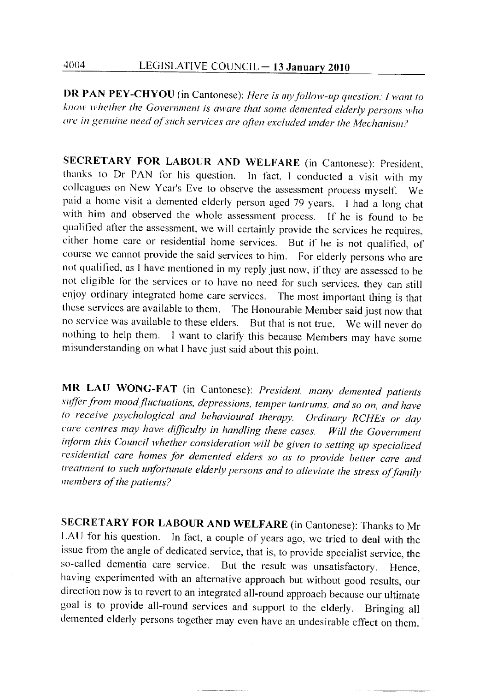DR PAN PEY-CHYOU (in Cantonese): Here is my follow-up question: I want to know whether the Government is aware that some demented elderly persons who are in genuine need of such services are often excluded under the Mechanism?

SECRETARY FOR LABOUR AND WELFARE (in Cantonese): President, thanks to Dr PAN for his question. In fact, I conducted a visit with my colleagues on New Year's Eve to observe the assessment process myself. We paid a home visit a demented elderly person aged 79 years. I had a long chat with him and observed the whole assessment process. If he is found to be qualified after the assessment, we will certainly provide the services he requires, either home care or residential home services. But if he is not qualified, of course we cannot provide the said services to him. For elderly persons who are not qualified, as I have mentioned in my reply just now, if they are assessed to be not eligible for the services or to have no need for such services, they can still enjoy ordinary integrated home care services. The most important thing is that these services are available to them. The Honourable Member said just now that no service was available to these elders. But that is not true. We will never do nothing to help them. I want to clarify this because Members may have some misunderstanding on what I have just said about this point.

MR LAU WONG-FAT (in Cantonese): President, many demented patients suffer from mood fluctuations, depressions, temper tantrums, and so on, and have to receive psychological and behavioural therapy. Ordinary RCHEs or day care centres may have difficulty in handling these cases. Will the Government inform this Council whether consideration will be given to setting up specialized residential care homes for demented elders so as to provide better care and treatment to such unfortunate elderly persons and to alleviate the stress of family members of the patients?

SECRETARY FOR LABOUR AND WELFARE (in Cantonese): Thanks to Mr LAU for his question. In fact, a couple of years ago, we tried to deal with the issue from the angle of dedicated service, that is, to provide specialist service, the so-called dementia care service. But the result was unsatisfactory. Hence. having experimented with an alternative approach but without good results, our direction now is to revert to an integrated all-round approach because our ultimate goal is to provide all-round services and support to the elderly. Bringing all demented elderly persons together may even have an undesirable effect on them.

4004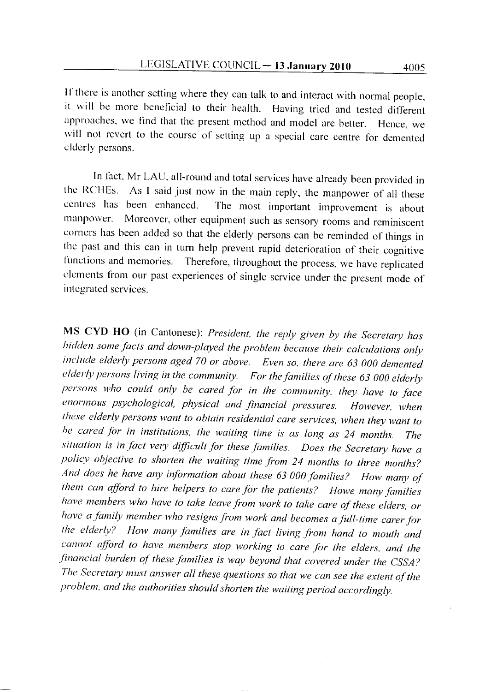If there is another setting where they can talk to and interact with normal people, it will be more beneficial to their health. Having tried and tested different approaches, we find that the present method and model are better. Hence, we will not revert to the course of setting up a special care centre for demented elderly persons.

In fact, Mr LAU, all-round and total services have already been provided in the RCHEs. As I said just now in the main reply, the manpower of all these centres has been enhanced. The most important improvement is about Moreover, other equipment such as sensory rooms and reminiscent manpower. corners has been added so that the elderly persons can be reminded of things in the past and this can in turn help prevent rapid deterioration of their cognitive Therefore, throughout the process, we have replicated functions and memories. elements from our past experiences of single service under the present mode of integrated services.

MS CYD HO (in Cantonese): President, the reply given by the Secretary has hidden some facts and down-played the problem because their calculations only include elderly persons aged 70 or above. Even so, there are 63 000 demented elderly persons living in the community. For the families of these 63 000 elderly persons who could only be cared for in the community, they have to face enormous psychological, physical and financial pressures. However, when these elderly persons want to obtain residential care services, when they want to be cared for in institutions, the waiting time is as long as 24 months. *The* situation is in fact very difficult for these families. Does the Secretary have a policy objective to shorten the waiting time from 24 months to three months? And does he have any information about these 63 000 families? How many of them can afford to hire helpers to care for the patients? Howe many families have members who have to take leave from work to take care of these elders, or have a family member who resigns from work and becomes a full-time carer for the elderly? How many families are in fact living from hand to mouth and cannot afford to have members stop working to care for the elders, and the financial burden of these families is way beyond that covered under the CSSA? The Secretary must answer all these questions so that we can see the extent of the problem, and the authorities should shorten the waiting period accordingly.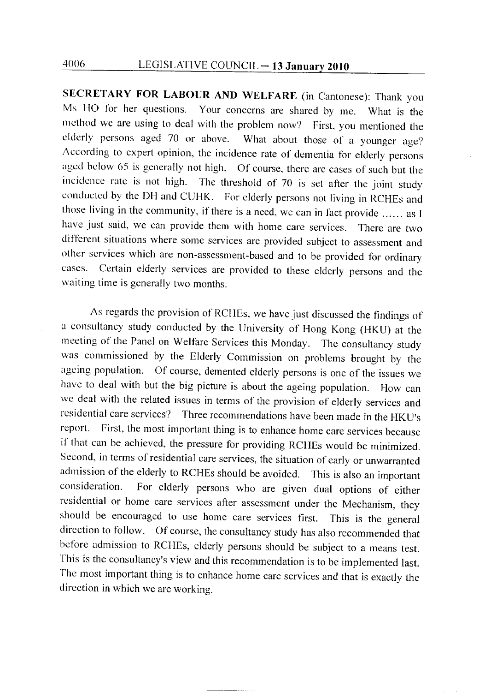SECRETARY FOR LABOUR AND WELFARE (in Cantonese): Thank you Ms HO for her questions. Your concerns are shared by me. What is the method we are using to deal with the problem now? First, you mentioned the elderly persons aged 70 or above. What about those of a younger age? According to expert opinion, the incidence rate of dementia for elderly persons aged below 65 is generally not high. Of course, there are cases of such but the incidence rate is not high. The threshold of 70 is set after the joint study conducted by the DH and CUHK. For elderly persons not living in RCHEs and those living in the community, if there is a need, we can in fact provide ...... as I have just said, we can provide them with home care services. There are two different situations where some services are provided subject to assessment and other services which are non-assessment-based and to be provided for ordinary cases. Certain elderly services are provided to these elderly persons and the waiting time is generally two months.

As regards the provision of RCHEs, we have just discussed the findings of a consultancy study conducted by the University of Hong Kong (HKU) at the meeting of the Panel on Welfare Services this Monday. The consultancy study was commissioned by the Elderly Commission on problems brought by the ageing population. Of course, demented elderly persons is one of the issues we have to deal with but the big picture is about the ageing population. How can we deal with the related issues in terms of the provision of elderly services and residential care services? Three recommendations have been made in the HKU's report. First, the most important thing is to enhance home care services because if that can be achieved, the pressure for providing RCHEs would be minimized. Second, in terms of residential care services, the situation of early or unwarranted admission of the elderly to RCHEs should be avoided. This is also an important For elderly persons who are given dual options of either consideration. residential or home care services after assessment under the Mechanism, they should be encouraged to use home care services first. This is the general direction to follow. Of course, the consultancy study has also recommended that before admission to RCHEs, elderly persons should be subject to a means test. This is the consultancy's view and this recommendation is to be implemented last. The most important thing is to enhance home care services and that is exactly the direction in which we are working.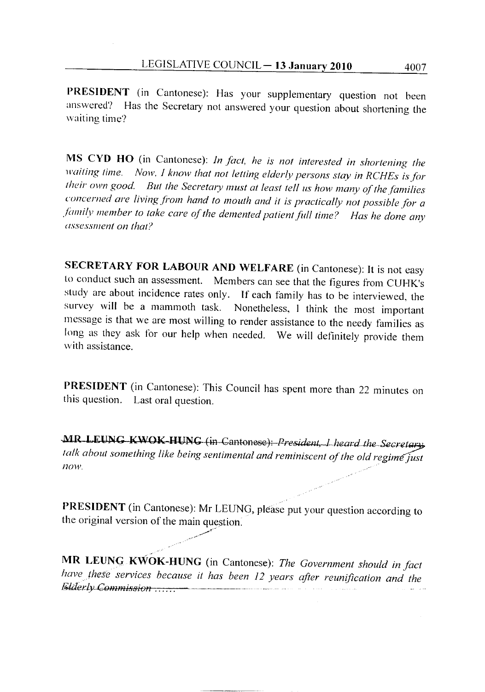PRESIDENT (in Cantonese): Has your supplementary question not been answered? Has the Secretary not answered your question about shortening the waiting time?

MS CYD HO (in Cantonese): In fact, he is not interested in shortening the waiting time. Now, I know that not letting elderly persons stay in RCHEs is for their own good. But the Secretary must at least tell us how many of the families concerned are living from hand to mouth and it is practically not possible for a family member to take care of the demented patient full time? Has he done any assessment on that?

SECRETARY FOR LABOUR AND WELFARE (in Cantonese): It is not easy to conduct such an assessment. Members can see that the figures from CUHK's study are about incidence rates only. If each family has to be interviewed, the survey will be a mammoth task. Nonetheless, I think the most important message is that we are most willing to render assistance to the needy families as long as they ask for our help when needed. We will definitely provide them with assistance.

PRESIDENT (in Cantonese): This Council has spent more than 22 minutes on this question. Last oral question.

MR LEUNG KWOK-HUNG (in Cantonese): President, I heard the Secretary talk about something like being sentimental and reminiscent of the old regime just now.

PRESIDENT (in Cantonese): Mr LEUNG, please put your question according to the original version of the main question.

MR LEUNG KWOK-HUNG (in Cantonese): The Government should in fact have these services because it has been 12 years after reunification and the Elderly Commission ......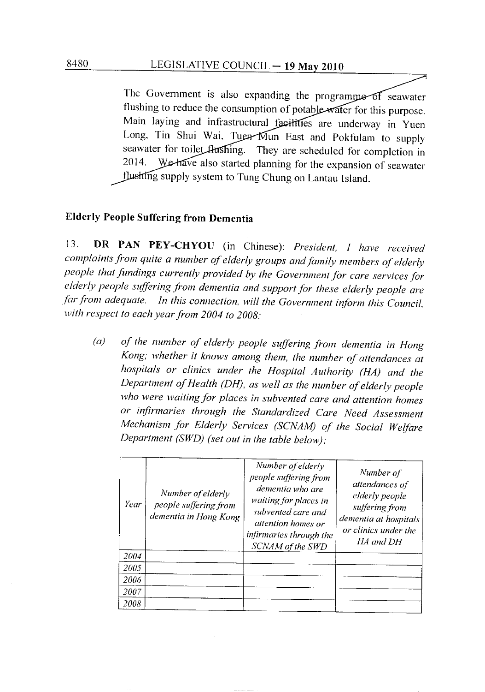The Government is also expanding the programme of seawater flushing to reduce the consumption of potable water for this purpose. Main laying and infrastructural facilities are underway in Yuen Long, Tin Shui Wai, Tuen Mun East and Pokfulam to supply seawater for toilet flushing. They are scheduled for completion in We have also started planning for the expansion of seawater 2014. flushing supply system to Tung Chung on Lantau Island.

# **Elderly People Suffering from Dementia**

DR PAN PEY-CHYOU (in Chinese): President, I have received  $13.$ complaints from quite a number of elderly groups and family members of elderly people that fundings currently provided by the Government for care services for elderly people suffering from dementia and support for these elderly people are In this connection, will the Government inform this Council, far from adequate. with respect to each year from 2004 to 2008:

of the number of elderly people suffering from dementia in Hong  $(a)$ Kong; whether it knows among them, the number of attendances at hospitals or clinics under the Hospital Authority (HA) and the Department of Health (DH), as well as the number of elderly people who were waiting for places in subvented care and attention homes or infirmaries through the Standardized Care Need Assessment Mechanism for Elderly Services (SCNAM) of the Social Welfare Department (SWD) (set out in the table below);

| Year        | Number of elderly<br>people suffering from<br>dementia in Hong Kong | Number of elderly<br>people suffering from<br>dementia who are<br>waiting for places in<br>subvented care and<br><i>attention homes or</i><br>infirmaries through the<br>SCNAM of the SWD | Number of<br>attendances of<br>elderly people<br>suffering from<br>dementia at hospitals<br>or clinics under the<br>HA and DH |
|-------------|---------------------------------------------------------------------|-------------------------------------------------------------------------------------------------------------------------------------------------------------------------------------------|-------------------------------------------------------------------------------------------------------------------------------|
| 2004        |                                                                     |                                                                                                                                                                                           |                                                                                                                               |
| 2005        |                                                                     |                                                                                                                                                                                           |                                                                                                                               |
| 2006        |                                                                     |                                                                                                                                                                                           |                                                                                                                               |
| <i>2007</i> |                                                                     |                                                                                                                                                                                           |                                                                                                                               |
| 2008        |                                                                     |                                                                                                                                                                                           |                                                                                                                               |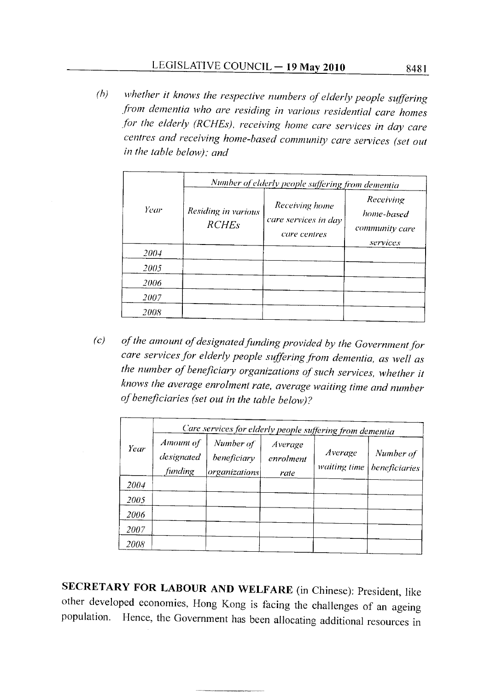whether it knows the respective numbers of elderly people suffering  $(b)$ from dementia who are residing in various residential care homes for the elderly (RCHEs), receiving home care services in day care centres and receiving home-based community care services (set out in the table below); and

|             | Number of elderly people suffering from dementia |                                                        |                                                       |  |
|-------------|--------------------------------------------------|--------------------------------------------------------|-------------------------------------------------------|--|
| Year        | Residing in various<br><b>RCHEs</b>              | Receiving home<br>care services in day<br>care centres | Receiving<br>home-based<br>community care<br>services |  |
| 2004        |                                                  |                                                        |                                                       |  |
| 2005        |                                                  |                                                        |                                                       |  |
| 2006        |                                                  |                                                        |                                                       |  |
| <i>2007</i> |                                                  |                                                        |                                                       |  |
| <i>2008</i> |                                                  |                                                        |                                                       |  |

of the amount of designated funding provided by the Government for  $(c)$ care services for elderly people suffering from dementia, as well as the number of beneficiary organizations of such services, whether it knows the average enrolment rate, average waiting time and number of beneficiaries (set out in the table below)?

|      | Care services for elderly people suffering from dementia |                                           |                              |                         |                            |
|------|----------------------------------------------------------|-------------------------------------------|------------------------------|-------------------------|----------------------------|
| Year | Amount of<br>designated<br>funding                       | Number of<br>beneficiary<br>organizations | Average<br>enrolment<br>rate | Average<br>waiting time | Number of<br>beneficiaries |
| 2004 |                                                          |                                           |                              |                         |                            |
| 2005 |                                                          |                                           |                              |                         |                            |
| 2006 |                                                          |                                           |                              |                         |                            |
| 2007 |                                                          |                                           |                              |                         |                            |
| 2008 |                                                          |                                           |                              |                         |                            |

SECRETARY FOR LABOUR AND WELFARE (in Chinese): President, like other developed economies, Hong Kong is facing the challenges of an ageing population. Hence, the Government has been allocating additional resources in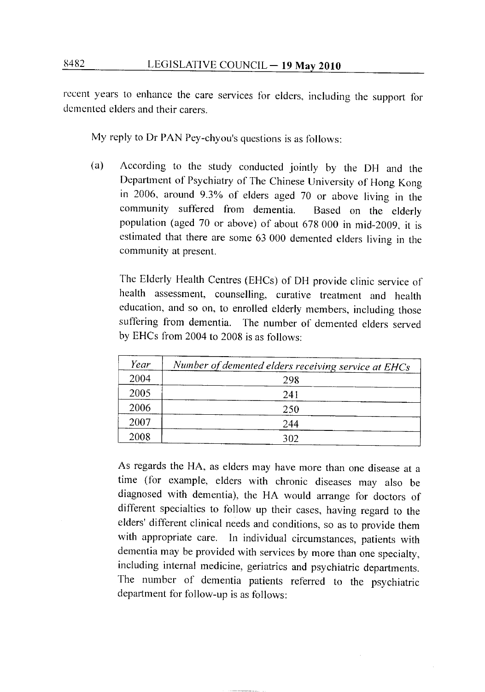recent years to enhance the care services for elders, including the support for demented elders and their carers.

My reply to Dr PAN Pey-chyou's questions is as follows:

According to the study conducted jointly by the DH and the (a) Department of Psychiatry of The Chinese University of Hong Kong in 2006, around 9.3% of elders aged 70 or above living in the community suffered from dementia. Based on the elderly population (aged 70 or above) of about 678 000 in mid-2009, it is estimated that there are some 63 000 demented elders living in the community at present.

The Elderly Health Centres (EHCs) of DH provide clinic service of health assessment, counselling, curative treatment and health education, and so on, to enrolled elderly members, including those suffering from dementia. The number of demented elders served by EHCs from 2004 to 2008 is as follows:

| Year | Number of demented elders receiving service at EHCs |
|------|-----------------------------------------------------|
| 2004 | 298                                                 |
| 2005 | 241                                                 |
| 2006 | 250                                                 |
| 2007 | 244                                                 |
| 2008 | 302                                                 |

As regards the HA, as elders may have more than one disease at a time (for example, elders with chronic diseases may also be diagnosed with dementia), the HA would arrange for doctors of different specialties to follow up their cases, having regard to the elders' different clinical needs and conditions, so as to provide them with appropriate care. In individual circumstances, patients with dementia may be provided with services by more than one specialty, including internal medicine, geriatrics and psychiatric departments. The number of dementia patients referred to the psychiatric department for follow-up is as follows: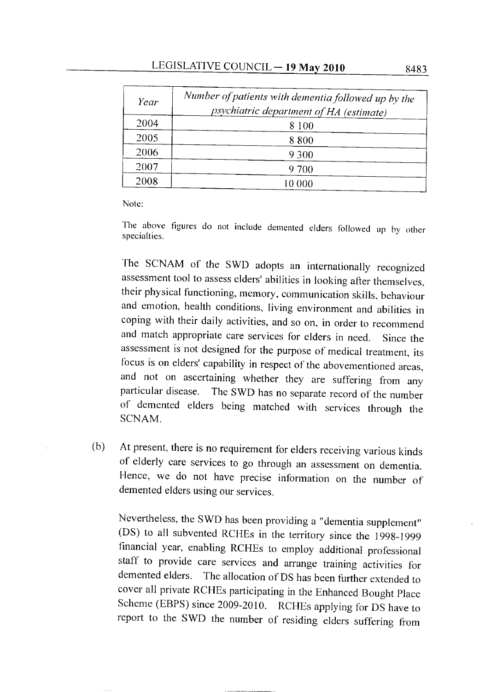| Year | Number of patients with dementia followed up by the<br>psychiatric department of HA (estimate) |
|------|------------------------------------------------------------------------------------------------|
| 2004 | 8 100                                                                                          |
| 2005 | 8800                                                                                           |
| 2006 | 9 3 0 0                                                                                        |
| 2007 | 9 700                                                                                          |
| 2008 |                                                                                                |

Note:

The above figures do not include demented elders followed up by other specialties.

The SCNAM of the SWD adopts an internationally recognized assessment tool to assess elders' abilities in looking after themselves, their physical functioning, memory, communication skills, behaviour and emotion, health conditions, living environment and abilities in coping with their daily activities, and so on, in order to recommend and match appropriate care services for elders in need. Since the assessment is not designed for the purpose of medical treatment, its focus is on elders' capability in respect of the abovementioned areas, and not on ascertaining whether they are suffering from any particular disease. The SWD has no separate record of the number of demented elders being matched with services through the SCNAM.

At present, there is no requirement for elders receiving various kinds  $(b)$ of elderly care services to go through an assessment on dementia. Hence, we do not have precise information on the number of demented elders using our services.

Nevertheless, the SWD has been providing a "dementia supplement" (DS) to all subvented RCHEs in the territory since the 1998-1999 financial year, enabling RCHEs to employ additional professional staff to provide care services and arrange training activities for demented elders. The allocation of DS has been further extended to cover all private RCHEs participating in the Enhanced Bought Place Scheme (EBPS) since 2009-2010. RCHEs applying for DS have to report to the SWD the number of residing elders suffering from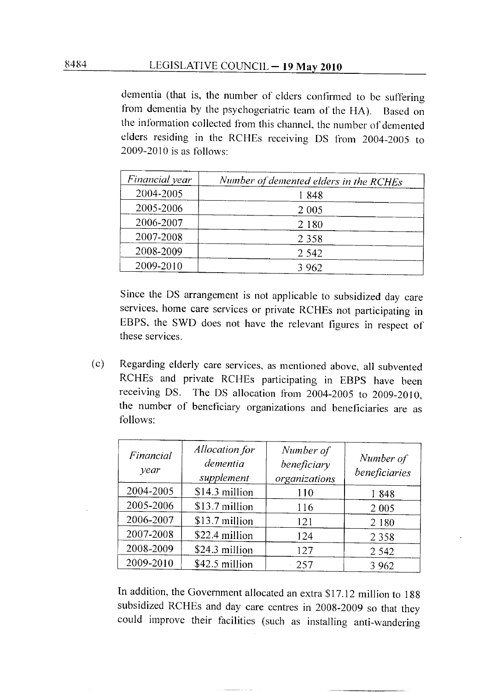dementia (that is, the number of elders confirmed to be suffering from dementia by the psychogeriatric team of the HA). Based on the information collected from this channel, the number of demented elders residing in the RCHEs receiving DS from 2004-2005 to  $2009-2010$  is as follows:

| Financial year | Number of demented elders in the RCHEs |  |
|----------------|----------------------------------------|--|
| 2004-2005      | 1848                                   |  |
| 2005-2006      | 2 0 0 5                                |  |
| 2006-2007      | 2 1 8 0                                |  |
| 2007-2008      | 2 3 5 8                                |  |
| 2008-2009      | 2 5 4 2                                |  |
| 2009-2010      | 3 9 6 2                                |  |

Since the DS arrangement is not applicable to subsidized day care services, home care services or private RCHEs not participating in EBPS, the SWD does not have the relevant figures in respect of these services.

Regarding elderly care services, as mentioned above, all subvented  $(c)$ RCHEs and private RCHEs participating in EBPS have been receiving DS. The DS allocation from 2004-2005 to 2009-2010, the number of beneficiary organizations and beneficiaries are as follows:

| Financial<br>year | Allocation for<br>dementia<br>supplement | Number of<br>beneficiary<br>organizations | Number of<br>beneficiaries |
|-------------------|------------------------------------------|-------------------------------------------|----------------------------|
| 2004-2005         | \$14.3 million                           | 110                                       | 1848                       |
| 2005-2006         | \$13.7 million                           | 116                                       | 2 0 0 5                    |
| 2006-2007         | \$13.7 million                           | 121                                       | 2 1 8 0                    |
| 2007-2008         | \$22.4 million                           | 124                                       | 2 3 5 8                    |
| 2008-2009         | \$24.3 million                           | 127                                       | 2 5 4 2                    |
| 2009-2010         | \$42.5 million                           | 257                                       | 3 9 6 2                    |

In addition, the Government allocated an extra \$17.12 million to 188 subsidized RCHEs and day care centres in 2008-2009 so that they could improve their facilities (such as installing anti-wandering